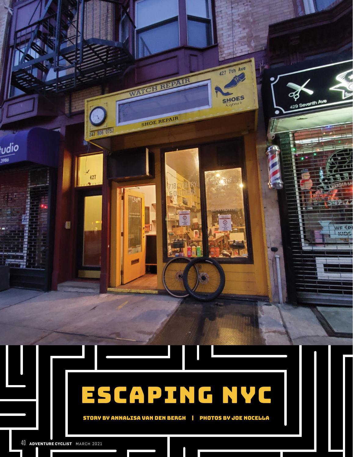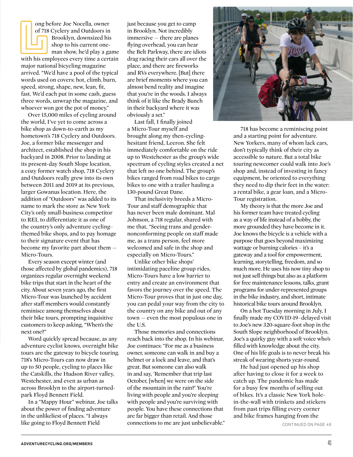ong before Joe Nocella, owner of 718 Cyclery and Outdoors in Brooklyn, downsized his shop to his current oneman show, he'd play a game with his employees every time a certain major national bicycling magazine arrived. "We'd have a pool of the typical words used on covers: hot, climb, burn, speed, strong, shape, new, lean, fit, fast. We'd each put in some cash, guess three words, unwrap the magazine, and whoever won got the pot of money."

Over 15,000 miles of cycling around the world, I've yet to come across a bike shop as down-to-earth as my hometown's 718 Cyclery and Outdoors. Joe, a former bike messenger and architect, established the shop in his backyard in 2008. Prior to landing at its present-day South Slope location, a cozy former watch shop, 718 Cyclery and Outdoors really grew into its own between 2011 and 2019 at its previous, larger Gowanus location. Here, the addition of "Outdoors" was added to its name to mark the store as New York City's only small-business competitor to REI, to differentiate it as one of the country's only adventure cycling– themed bike shops, and to pay homage to their signature event that has become my favorite part about them — Micro-Tours.

Every season except winter (and those affected by global pandemics), 718 organizes regular overnight weekend bike trips that start in the heart of the city. About seven years ago, the first Micro-Tour was launched by accident after staff members would constantly reminisce among themselves about their bike tours, prompting inquisitive customers to keep asking, "When's the next one?"

Word quickly spread because, as any adventure cyclist knows, overnight bike tours are the gateway to bicycle touring. 718's Micro-Tours can now draw in up to 50 people, cycling to places like the Catskills, the Hudson River valley, Westchester, and even as urban as across Brooklyn to the airport-turnedpark Floyd Bennett Field.

In a "Mappy Hour" webinar, Joe talks about the power of finding adventure in the unlikeliest of places. "I always like going to Floyd Bennett Field

just because you get to camp in Brooklyn. Not incredibly immersive — there are planes flying overhead, you can hear the Belt Parkway, there are idiots drag racing their cars all over the place, and there are fireworks and RVs everywhere. [But] there are brief moments where you can almost bend reality and imagine that you're in the woods. I always think of it like the Brady Bunch in their backyard where it was obviously a set."

Last fall, I finally joined a Micro-Tour myself and brought along my then-cyclinghesitant friend, Leeron. She felt immediately comfortable on the ride up to Westchester as the group's wide spectrum of cycling styles created a net that left no one behind. The group's bikes ranged from road bikes to cargo bikes to one with a trailer hauling a 130-pound Great Dane.

That inclusivity breeds a Micro-Tour and staff demographic that has never been male dominant. Mal Johnson, a 718 regular, shared with me that, "Seeing trans and gendernonconforming people on staff made me, as a trans person, feel more welcomed and safe in the shop and especially on Micro-Tours."

Unlike other bike shops' intimidating paceline group rides, Micro-Tours have a low barrier to entry and create an environment that favors the journey over the speed. The Micro-Tour proves that in just one day, you can pedal your way from the city to the country on any bike and out of any town — even the most populous one in the U.S.

Those memories and connections reach back into the shop. In his webinar, Joe continues: "For me as a business owner, someone can walk in and buy a helmet or a lock and leave, and that's great. But someone can also walk in and say, 'Remember that trip last October, [when] we were on the side of the mountain in the rain?' You're living with people and you're sleeping with people and you're surviving with people. You have these connections that are far bigger than retail. And those connections to me are just unbelievable."



718 has become a reminiscing point and a starting point for adventure. New Yorkers, many of whom lack cars, don't typically think of their city as accessible to nature. But a total bike touring newcomer could walk into Joe's shop and, instead of investing in fancy equipment, be oriented to everything they need to dip their feet in the water: a rental bike, a gear loan, and a Micro-Tour registration.

My theory is that the more Joe and his former team have treated cycling as a way of life instead of a hobby, the more grounded they have become in it. Joe knows the bicycle is a vehicle with a purpose that goes beyond maximizing wattage or burning calories – it's a gateway and a tool for empowerment, learning, storytelling, freedom, and so much more. He uses his now tiny shop to not just sell things but also as a platform for free maintenance lessons, talks, grant programs for under-represented groups in the bike industry, and short, intimate historical bike tours around Brooklyn.

On a hot Tuesday morning in July, I finally made my COVID-19–delayed visit to Joe's new 320-square-foot shop in the South Slope neighborhood of Brooklyn. Joe's a quirky guy with a soft voice who's filled with knowledge about the city. One of his life goals is to never break his streak of wearing shorts year-round.

He had just opened up his shop after having to close it for a week to catch up. The pandemic has made for a busy few months of selling out of bikes. It's a classic New York holein-the-wall with trinkets and stickers from past trips filling every corner and bike frames hanging from the

CONTINUED ON PAGE 49